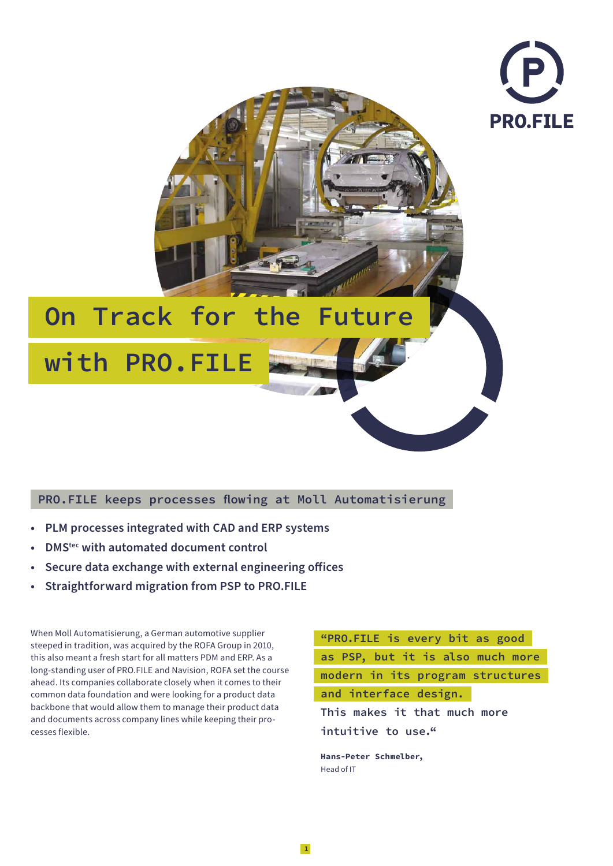

# **On Track for the Future**

 **with PRO.FILE** 

# **PRO.FILE keeps processes flowing at Moll Automatisierung**

- **• PLM processes integrated with CAD and ERP systems**
- **• DMStec with automated document control**
- **• Secure data exchange with external engineering offices**
- **• Straightforward migration from PSP to PRO.FILE**

When Moll Automatisierung, a German automotive supplier steeped in tradition, was acquired by the ROFA Group in 2010, this also meant a fresh start for all matters PDM and ERP. As a long-standing user of PRO.FILE and Navision, ROFA set the course ahead. Its companies collaborate closely when it comes to their common data foundation and were looking for a product data backbone that would allow them to manage their product data and documents across company lines while keeping their processes flexible.

 "PRO.FILE is every bit as good as PSP, but it is also much more modern in its program structures and interface design.  **This makes it that much more intuitive to use." Hans-Peter Schmelber,**  Head of IT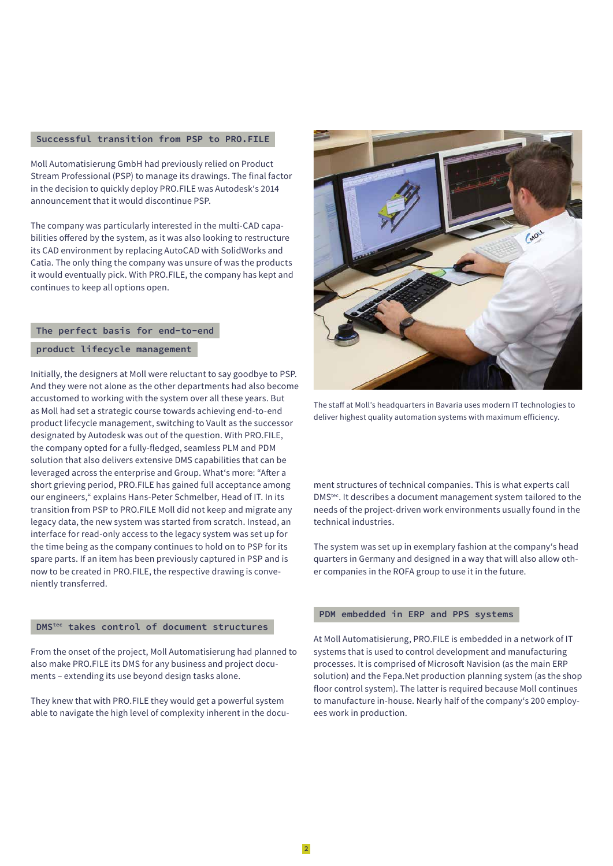### **Successful transition from PSP to PRO.FILE**

Moll Automatisierung GmbH had previously relied on Product Stream Professional (PSP) to manage its drawings. The final factor in the decision to quickly deploy PRO.FILE was Autodesk's 2014 announcement that it would discontinue PSP.

The company was particularly interested in the multi-CAD capabilities offered by the system, as it was also looking to restructure its CAD environment by replacing AutoCAD with SolidWorks and Catia. The only thing the company was unsure of was the products it would eventually pick. With PRO.FILE, the company has kept and continues to keep all options open.

#### **The perfect basis for end-to-end**

#### **product lifecycle management**

Initially, the designers at Moll were reluctant to say goodbye to PSP. And they were not alone as the other departments had also become accustomed to working with the system over all these years. But as Moll had set a strategic course towards achieving end-to-end product lifecycle management, switching to Vault as the successor designated by Autodesk was out of the question. With PRO.FILE, the company opted for a fully-fledged, seamless PLM and PDM solution that also delivers extensive DMS capabilities that can be leveraged across the enterprise and Group. What's more: "After a short grieving period, PRO.FILE has gained full acceptance among our engineers," explains Hans-Peter Schmelber, Head of IT. In its transition from PSP to PRO.FILE Moll did not keep and migrate any legacy data, the new system was started from scratch. Instead, an interface for read-only access to the legacy system was set up for the time being as the company continues to hold on to PSP for its spare parts. If an item has been previously captured in PSP and is now to be created in PRO.FILE, the respective drawing is conveniently transferred.

# DMStec **takes control of document structures**

From the onset of the project, Moll Automatisierung had planned to also make PRO.FILE its DMS for any business and project documents – extending its use beyond design tasks alone.

They knew that with PRO.FILE they would get a powerful system able to navigate the high level of complexity inherent in the docu-



The staff at Moll's headquarters in Bavaria uses modern IT technologies to deliver highest quality automation systems with maximum efficiency.

ment structures of technical companies. This is what experts call DMStec. It describes a document management system tailored to the needs of the project-driven work environments usually found in the technical industries.

The system was set up in exemplary fashion at the company's head quarters in Germany and designed in a way that will also allow other companies in the ROFA group to use it in the future.

#### **PDM embedded in ERP and PPS systems**

At Moll Automatisierung, PRO.FILE is embedded in a network of IT systems that is used to control development and manufacturing processes. It is comprised of Microsoft Navision (as the main ERP solution) and the Fepa.Net production planning system (as the shop floor control system). The latter is required because Moll continues to manufacture in-house. Nearly half of the company's 200 employees work in production.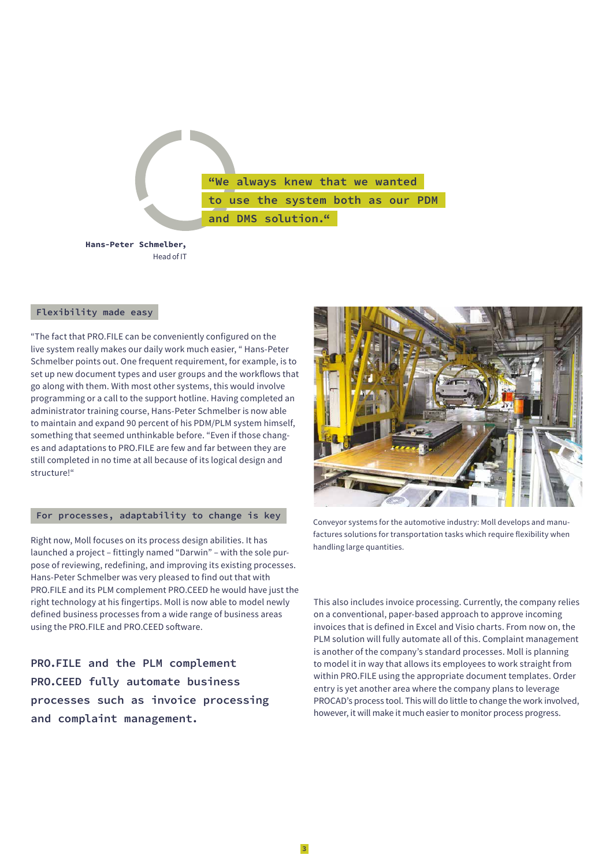"We always knew that we wanted to use the system both as our PDM and DMS solution."

**Hans-Peter Schmelber,**  Head of IT

#### **Flexibility made easy**

"The fact that PRO.FILE can be conveniently configured on the live system really makes our daily work much easier, " Hans-Peter Schmelber points out. One frequent requirement, for example, is to set up new document types and user groups and the workflows that go along with them. With most other systems, this would involve programming or a call to the support hotline. Having completed an administrator training course, Hans-Peter Schmelber is now able to maintain and expand 90 percent of his PDM/PLM system himself, something that seemed unthinkable before. "Even if those changes and adaptations to PRO.FILE are few and far between they are still completed in no time at all because of its logical design and structure!"

#### **For processes, adaptability to change is key**

Right now, Moll focuses on its process design abilities. It has launched a project – fittingly named "Darwin" – with the sole purpose of reviewing, redefining, and improving its existing processes. Hans-Peter Schmelber was very pleased to find out that with PRO.FILE and its PLM complement PRO.CEED he would have just the right technology at his fingertips. Moll is now able to model newly defined business processes from a wide range of business areas using the PRO.FILE and PRO.CEED software.

**PRO.FILE and the PLM complement PRO.CEED fully automate business processes such as invoice processing and complaint management.**



Conveyor systems for the automotive industry: Moll develops and manufactures solutions for transportation tasks which require flexibility when handling large quantities.

This also includes invoice processing. Currently, the company relies on a conventional, paper-based approach to approve incoming invoices that is defined in Excel and Visio charts. From now on, the PLM solution will fully automate all of this. Complaint management is another of the company's standard processes. Moll is planning to model it in way that allows its employees to work straight from within PRO.FILE using the appropriate document templates. Order entry is yet another area where the company plans to leverage PROCAD's process tool. This will do little to change the work involved, however, it will make it much easier to monitor process progress.